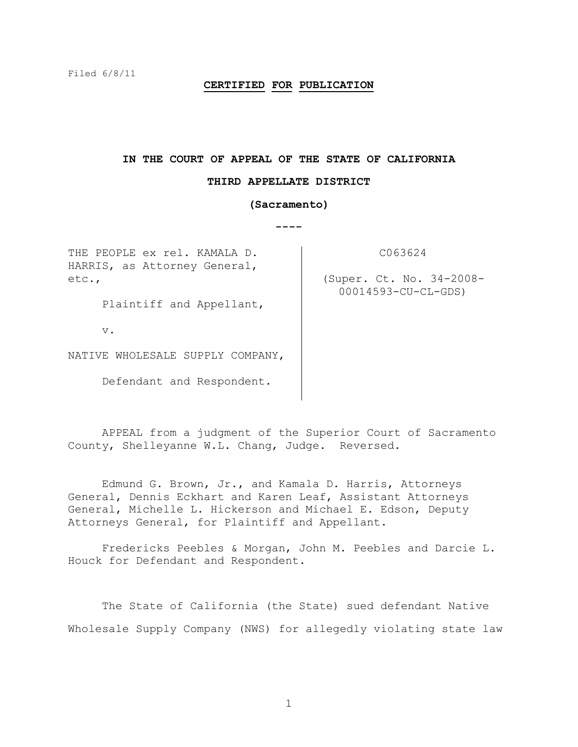# **CERTIFIED FOR PUBLICATION**

#### **IN THE COURT OF APPEAL OF THE STATE OF CALIFORNIA**

#### **THIRD APPELLATE DISTRICT**

#### **(Sacramento)**

**----**

THE PEOPLE ex rel. KAMALA D. HARRIS, as Attorney General, etc.,

C063624

(Super. Ct. No. 34-2008- 00014593-CU-CL-GDS)

Plaintiff and Appellant,

v.

NATIVE WHOLESALE SUPPLY COMPANY,

Defendant and Respondent.

APPEAL from a judgment of the Superior Court of Sacramento County, Shelleyanne W.L. Chang, Judge. Reversed.

Edmund G. Brown, Jr., and Kamala D. Harris, Attorneys General, Dennis Eckhart and Karen Leaf, Assistant Attorneys General, Michelle L. Hickerson and Michael E. Edson, Deputy Attorneys General, for Plaintiff and Appellant.

Fredericks Peebles & Morgan, John M. Peebles and Darcie L. Houck for Defendant and Respondent.

The State of California (the State) sued defendant Native Wholesale Supply Company (NWS) for allegedly violating state law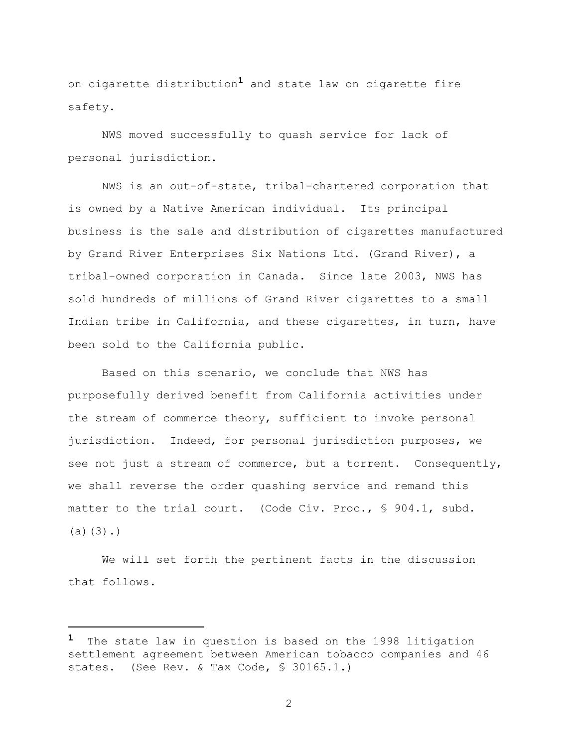on cigarette distribution**1** and state law on cigarette fire safety.

NWS moved successfully to quash service for lack of personal jurisdiction.

NWS is an out-of-state, tribal-chartered corporation that is owned by a Native American individual. Its principal business is the sale and distribution of cigarettes manufactured by Grand River Enterprises Six Nations Ltd. (Grand River), a tribal-owned corporation in Canada. Since late 2003, NWS has sold hundreds of millions of Grand River cigarettes to a small Indian tribe in California, and these cigarettes, in turn, have been sold to the California public.

Based on this scenario, we conclude that NWS has purposefully derived benefit from California activities under the stream of commerce theory, sufficient to invoke personal jurisdiction. Indeed, for personal jurisdiction purposes, we see not just a stream of commerce, but a torrent. Consequently, we shall reverse the order quashing service and remand this matter to the trial court. (Code Civ. Proc., § 904.1, subd.  $(a)(3)$ .)

We will set forth the pertinent facts in the discussion that follows.

a<br>B

**<sup>1</sup>** The state law in question is based on the 1998 litigation settlement agreement between American tobacco companies and 46 states. (See Rev. & Tax Code, § 30165.1.)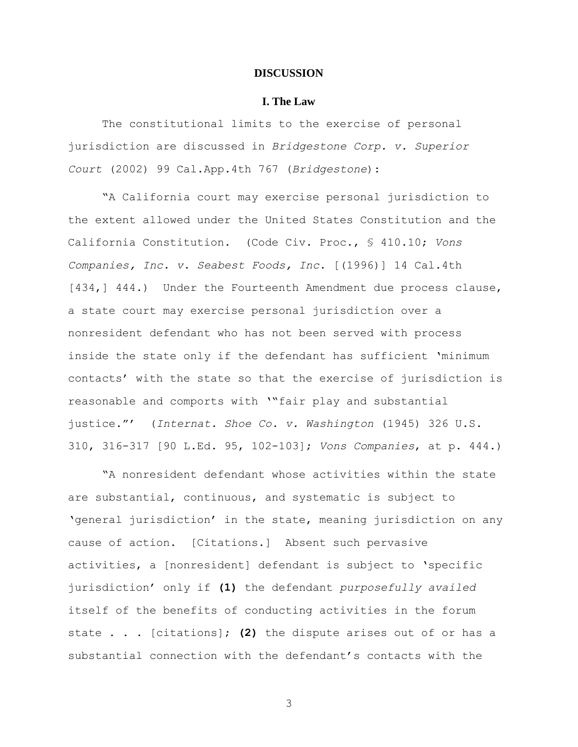# **DISCUSSION**

# **I. The Law**

The constitutional limits to the exercise of personal jurisdiction are discussed in *Bridgestone Corp. v. Superior Court* (2002) 99 Cal.App.4th 767 (*Bridgestone*):

"A California court may exercise personal jurisdiction to the extent allowed under the United States Constitution and the California Constitution. (Code Civ. Proc., § 410.10; *Vons Companies, Inc. v. Seabest Foods, Inc.* [(1996)] 14 Cal.4th [434,] 444.) Under the Fourteenth Amendment due process clause, a state court may exercise personal jurisdiction over a nonresident defendant who has not been served with process inside the state only if the defendant has sufficient "minimum contacts" with the state so that the exercise of jurisdiction is reasonable and comports with ""fair play and substantial justice."" (*Internat. Shoe Co. v. Washington* (1945) 326 U.S. 310, 316-317 [90 L.Ed. 95, 102-103]; *Vons Companies*, at p. 444.)

"A nonresident defendant whose activities within the state are substantial, continuous, and systematic is subject to "general jurisdiction" in the state, meaning jurisdiction on any cause of action. [Citations.] Absent such pervasive activities, a [nonresident] defendant is subject to "specific jurisdiction" only if **(1)** the defendant *purposefully availed* itself of the benefits of conducting activities in the forum state . . . [citations]; **(2)** the dispute arises out of or has a substantial connection with the defendant's contacts with the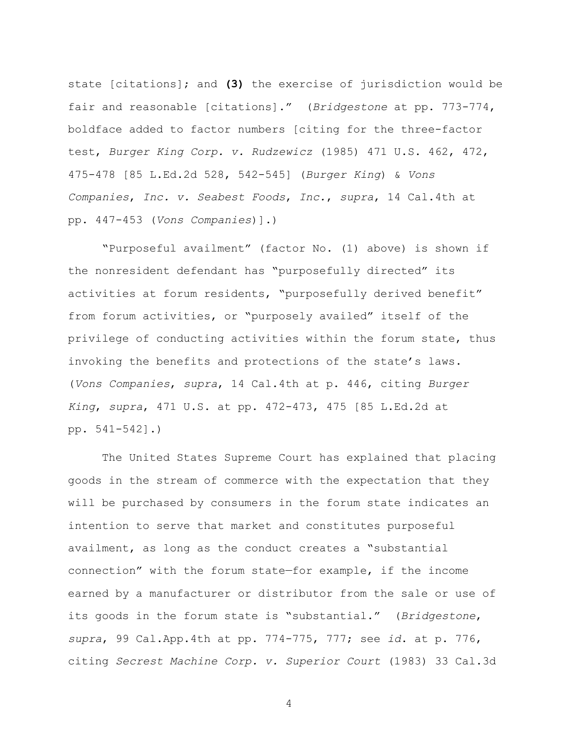state [citations]; and **(3)** the exercise of jurisdiction would be fair and reasonable [citations]." (*Bridgestone* at pp. 773-774, boldface added to factor numbers [citing for the three-factor test, *Burger King Corp. v. Rudzewicz* (1985) 471 U.S. 462, 472, 475-478 [85 L.Ed.2d 528, 542-545] (*Burger King*) & *Vons Companies*, *Inc. v. Seabest Foods*, *Inc.*, *supra*, 14 Cal.4th at pp. 447-453 (*Vons Companies*)].)

"Purposeful availment" (factor No. (1) above) is shown if the nonresident defendant has "purposefully directed" its activities at forum residents, "purposefully derived benefit" from forum activities, or "purposely availed" itself of the privilege of conducting activities within the forum state, thus invoking the benefits and protections of the state's laws. (*Vons Companies*, *supra*, 14 Cal.4th at p. 446, citing *Burger King*, *supra*, 471 U.S. at pp. 472-473, 475 [85 L.Ed.2d at pp. 541-542].)

The United States Supreme Court has explained that placing goods in the stream of commerce with the expectation that they will be purchased by consumers in the forum state indicates an intention to serve that market and constitutes purposeful availment, as long as the conduct creates a "substantial connection" with the forum state—for example, if the income earned by a manufacturer or distributor from the sale or use of its goods in the forum state is "substantial." (*Bridgestone*, *supra*, 99 Cal.App.4th at pp. 774-775, 777; see *id*. at p. 776, citing *Secrest Machine Corp. v. Superior Court* (1983) 33 Cal.3d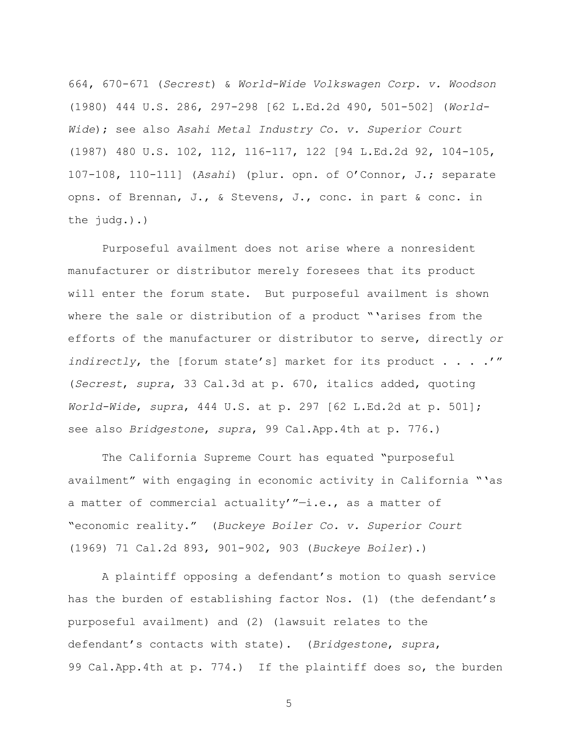664, 670-671 (*Secrest*) & *World-Wide Volkswagen Corp. v. Woodson*  (1980) 444 U.S. 286, 297-298 [62 L.Ed.2d 490, 501-502] (*World-Wide*); see also *Asahi Metal Industry Co. v. Superior Court*  (1987) 480 U.S. 102, 112, 116-117, 122 [94 L.Ed.2d 92, 104-105, 107-108, 110-111] (*Asahi*) (plur. opn. of O"Connor, J.; separate opns. of Brennan, J., & Stevens, J., conc. in part & conc. in the judg.).)

Purposeful availment does not arise where a nonresident manufacturer or distributor merely foresees that its product will enter the forum state. But purposeful availment is shown where the sale or distribution of a product "'arises from the efforts of the manufacturer or distributor to serve, directly *or indirectly*, the [forum state's] market for its product . . . . " (*Secrest*, *supra*, 33 Cal.3d at p. 670, italics added, quoting *World-Wide*, *supra*, 444 U.S. at p. 297 [62 L.Ed.2d at p. 501]; see also *Bridgestone*, *supra*, 99 Cal.App.4th at p. 776.)

The California Supreme Court has equated "purposeful availment" with engaging in economic activity in California ""as a matter of commercial actuality'"-i.e., as a matter of "economic reality." (*Buckeye Boiler Co. v. Superior Court*  (1969) 71 Cal.2d 893, 901-902, 903 (*Buckeye Boiler*).)

A plaintiff opposing a defendant"s motion to quash service has the burden of establishing factor Nos. (1) (the defendant's purposeful availment) and (2) (lawsuit relates to the defendant"s contacts with state). (*Bridgestone*, *supra*, 99 Cal.App.4th at p. 774.) If the plaintiff does so, the burden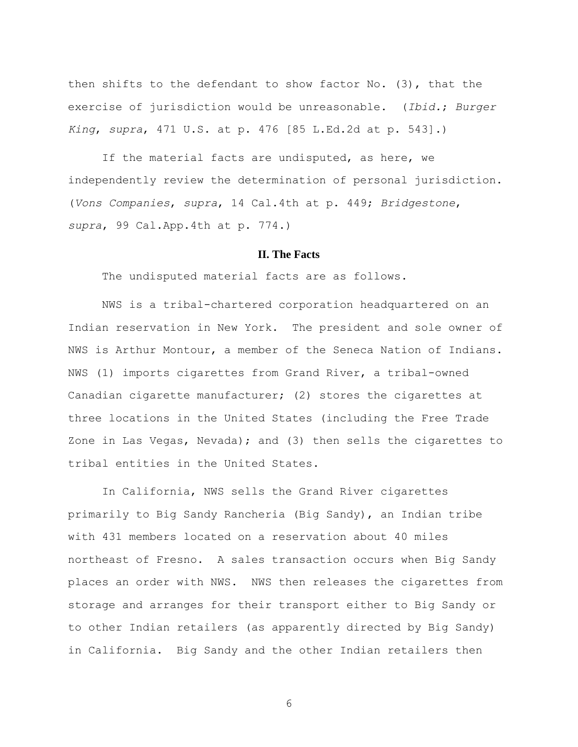then shifts to the defendant to show factor No. (3), that the exercise of jurisdiction would be unreasonable. (*Ibid.*; *Burger King*, *supra*, 471 U.S. at p. 476 [85 L.Ed.2d at p. 543].)

If the material facts are undisputed, as here, we independently review the determination of personal jurisdiction. (*Vons Companies*, *supra*, 14 Cal.4th at p. 449; *Bridgestone*, *supra*, 99 Cal.App.4th at p. 774.)

# **II. The Facts**

The undisputed material facts are as follows.

NWS is a tribal-chartered corporation headquartered on an Indian reservation in New York. The president and sole owner of NWS is Arthur Montour, a member of the Seneca Nation of Indians. NWS (1) imports cigarettes from Grand River, a tribal-owned Canadian cigarette manufacturer; (2) stores the cigarettes at three locations in the United States (including the Free Trade Zone in Las Vegas, Nevada); and (3) then sells the cigarettes to tribal entities in the United States.

In California, NWS sells the Grand River cigarettes primarily to Big Sandy Rancheria (Big Sandy), an Indian tribe with 431 members located on a reservation about 40 miles northeast of Fresno. A sales transaction occurs when Big Sandy places an order with NWS. NWS then releases the cigarettes from storage and arranges for their transport either to Big Sandy or to other Indian retailers (as apparently directed by Big Sandy) in California. Big Sandy and the other Indian retailers then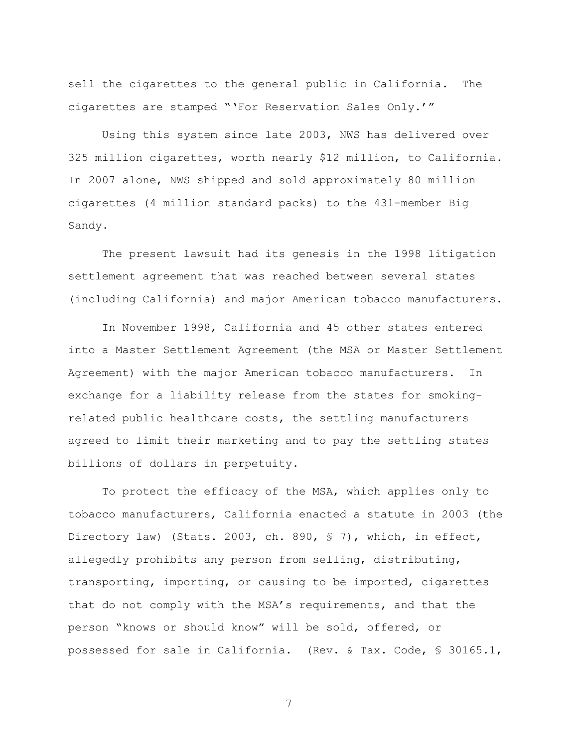sell the cigarettes to the general public in California. The cigarettes are stamped ""For Reservation Sales Only.""

Using this system since late 2003, NWS has delivered over 325 million cigarettes, worth nearly \$12 million, to California. In 2007 alone, NWS shipped and sold approximately 80 million cigarettes (4 million standard packs) to the 431-member Big Sandy.

The present lawsuit had its genesis in the 1998 litigation settlement agreement that was reached between several states (including California) and major American tobacco manufacturers.

In November 1998, California and 45 other states entered into a Master Settlement Agreement (the MSA or Master Settlement Agreement) with the major American tobacco manufacturers. In exchange for a liability release from the states for smokingrelated public healthcare costs, the settling manufacturers agreed to limit their marketing and to pay the settling states billions of dollars in perpetuity.

To protect the efficacy of the MSA, which applies only to tobacco manufacturers, California enacted a statute in 2003 (the Directory law) (Stats. 2003, ch. 890, § 7), which, in effect, allegedly prohibits any person from selling, distributing, transporting, importing, or causing to be imported, cigarettes that do not comply with the MSA"s requirements, and that the person "knows or should know" will be sold, offered, or possessed for sale in California. (Rev. & Tax. Code, § 30165.1,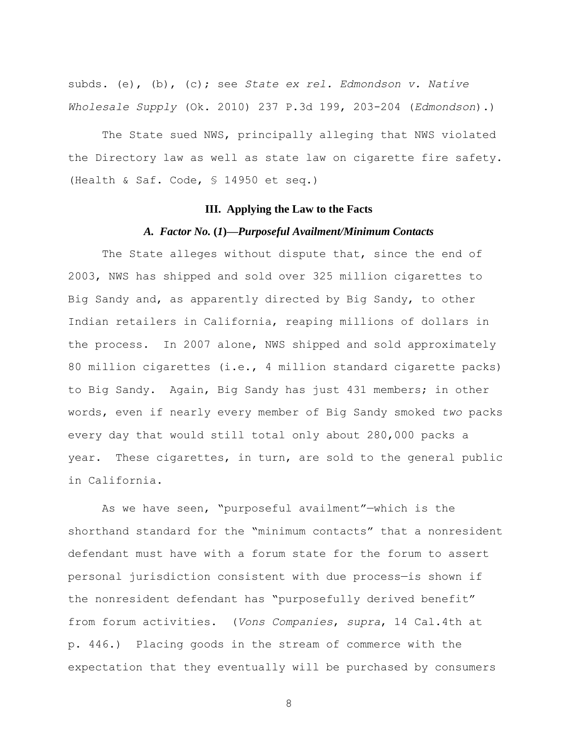subds. (e), (b), (c); see *State ex rel. Edmondson v. Native Wholesale Supply* (Ok. 2010) 237 P.3d 199, 203-204 (*Edmondson*).)

The State sued NWS, principally alleging that NWS violated the Directory law as well as state law on cigarette fire safety. (Health & Saf. Code, § 14950 et seq.)

# **III. Applying the Law to the Facts**

# *A. Factor No.* **(***1***)***—Purposeful Availment/Minimum Contacts*

The State alleges without dispute that, since the end of 2003, NWS has shipped and sold over 325 million cigarettes to Big Sandy and, as apparently directed by Big Sandy, to other Indian retailers in California, reaping millions of dollars in the process. In 2007 alone, NWS shipped and sold approximately 80 million cigarettes (i.e., 4 million standard cigarette packs) to Big Sandy. Again, Big Sandy has just 431 members; in other words, even if nearly every member of Big Sandy smoked *two* packs every day that would still total only about 280,000 packs a year. These cigarettes, in turn, are sold to the general public in California.

As we have seen, "purposeful availment"—which is the shorthand standard for the "minimum contacts" that a nonresident defendant must have with a forum state for the forum to assert personal jurisdiction consistent with due process—is shown if the nonresident defendant has "purposefully derived benefit" from forum activities. (*Vons Companies*, *supra*, 14 Cal.4th at p. 446.) Placing goods in the stream of commerce with the expectation that they eventually will be purchased by consumers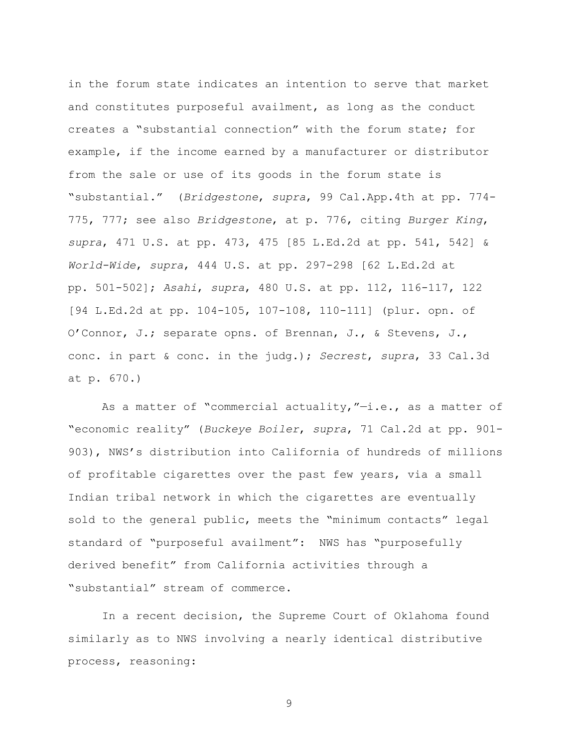in the forum state indicates an intention to serve that market and constitutes purposeful availment, as long as the conduct creates a "substantial connection" with the forum state; for example, if the income earned by a manufacturer or distributor from the sale or use of its goods in the forum state is "substantial." (*Bridgestone*, *supra*, 99 Cal.App.4th at pp. 774- 775, 777; see also *Bridgestone*, at p. 776, citing *Burger King*, *supra*, 471 U.S. at pp. 473, 475 [85 L.Ed.2d at pp. 541, 542] & *World-Wide*, *supra*, 444 U.S. at pp. 297-298 [62 L.Ed.2d at pp. 501-502]; *Asahi*, *supra*, 480 U.S. at pp. 112, 116-117, 122 [94 L.Ed.2d at pp. 104-105, 107-108, 110-111] (plur. opn. of O"Connor, J.; separate opns. of Brennan, J., & Stevens, J., conc. in part & conc. in the judg.); *Secrest*, *supra*, 33 Cal.3d at p. 670.)

As a matter of "commercial actuality,"—i.e., as a matter of "economic reality" (*Buckeye Boiler*, *supra*, 71 Cal.2d at pp. 901- 903), NWS"s distribution into California of hundreds of millions of profitable cigarettes over the past few years, via a small Indian tribal network in which the cigarettes are eventually sold to the general public, meets the "minimum contacts" legal standard of "purposeful availment": NWS has "purposefully derived benefit" from California activities through a "substantial" stream of commerce.

In a recent decision, the Supreme Court of Oklahoma found similarly as to NWS involving a nearly identical distributive process, reasoning: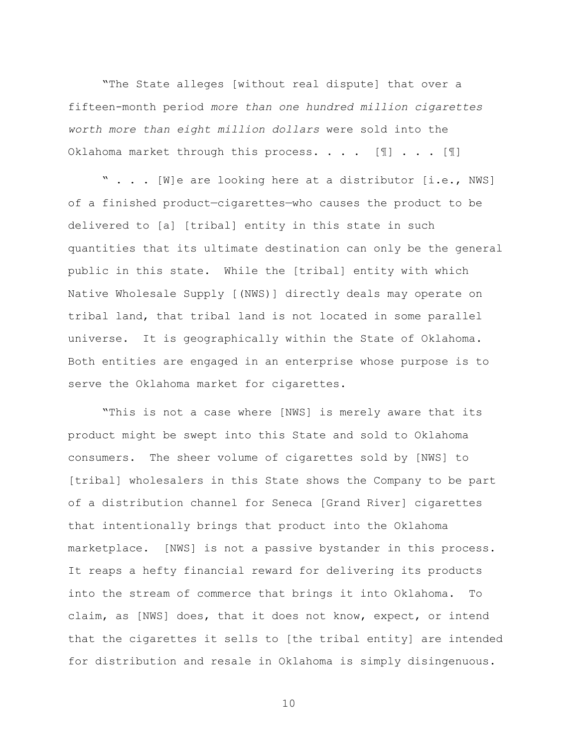"The State alleges [without real dispute] that over a fifteen-month period *more than one hundred million cigarettes worth more than eight million dollars* were sold into the Oklahoma market through this process. . . . [I] . . . [I]

" . . . [W]e are looking here at a distributor [i.e., NWS] of a finished product—cigarettes—who causes the product to be delivered to [a] [tribal] entity in this state in such quantities that its ultimate destination can only be the general public in this state. While the [tribal] entity with which Native Wholesale Supply [(NWS)] directly deals may operate on tribal land, that tribal land is not located in some parallel universe. It is geographically within the State of Oklahoma. Both entities are engaged in an enterprise whose purpose is to serve the Oklahoma market for cigarettes.

"This is not a case where [NWS] is merely aware that its product might be swept into this State and sold to Oklahoma consumers. The sheer volume of cigarettes sold by [NWS] to [tribal] wholesalers in this State shows the Company to be part of a distribution channel for Seneca [Grand River] cigarettes that intentionally brings that product into the Oklahoma marketplace. [NWS] is not a passive bystander in this process. It reaps a hefty financial reward for delivering its products into the stream of commerce that brings it into Oklahoma. To claim, as [NWS] does, that it does not know, expect, or intend that the cigarettes it sells to [the tribal entity] are intended for distribution and resale in Oklahoma is simply disingenuous.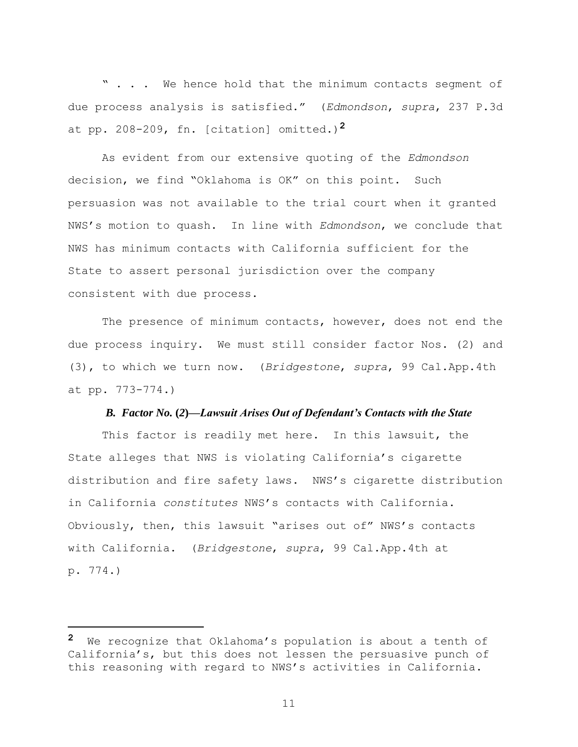" . . . We hence hold that the minimum contacts segment of due process analysis is satisfied." (*Edmondson*, *supra*, 237 P.3d at pp. 208-209, fn. [citation] omitted.)**2**

As evident from our extensive quoting of the *Edmondson*  decision, we find "Oklahoma is OK" on this point. Such persuasion was not available to the trial court when it granted NWS"s motion to quash. In line with *Edmondson*, we conclude that NWS has minimum contacts with California sufficient for the State to assert personal jurisdiction over the company consistent with due process.

The presence of minimum contacts, however, does not end the due process inquiry. We must still consider factor Nos. (2) and (3), to which we turn now. (*Bridgestone*, *supra*, 99 Cal.App.4th at pp. 773-774.)

# *B. Factor No.* **(***2***)***—Lawsuit Arises Out of Defendant's Contacts with the State*

This factor is readily met here. In this lawsuit, the State alleges that NWS is violating California"s cigarette distribution and fire safety laws. NWS"s cigarette distribution in California *constitutes* NWS"s contacts with California. Obviously, then, this lawsuit "arises out of" NWS"s contacts with California. (*Bridgestone*, *supra*, 99 Cal.App.4th at p. 774.)

a<br>B

**<sup>2</sup>** We recognize that Oklahoma"s population is about a tenth of California's, but this does not lessen the persuasive punch of this reasoning with regard to NWS"s activities in California.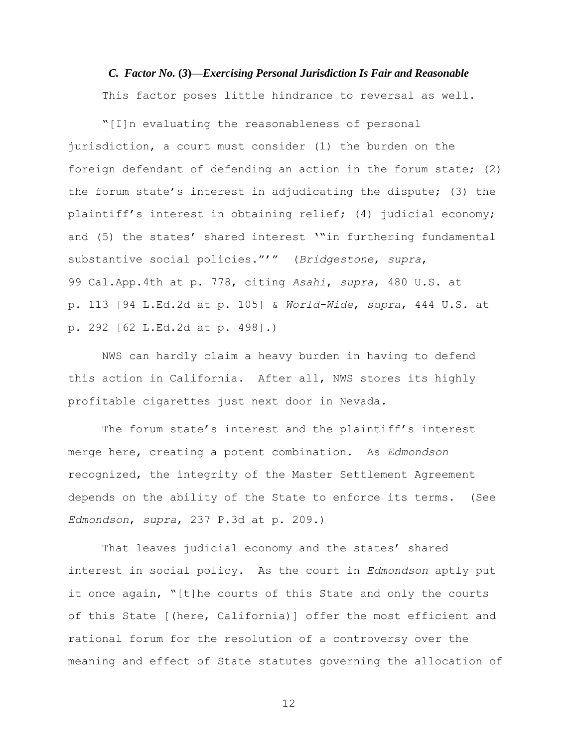*C. Factor No.* **(***3***)***—Exercising Personal Jurisdiction Is Fair and Reasonable* This factor poses little hindrance to reversal as well.

"[I]n evaluating the reasonableness of personal jurisdiction, a court must consider (1) the burden on the foreign defendant of defending an action in the forum state; (2) the forum state's interest in adjudicating the dispute; (3) the plaintiff's interest in obtaining relief; (4) judicial economy; and (5) the states' shared interest ""in furthering fundamental substantive social policies.""" (*Bridgestone*, *supra*, 99 Cal.App.4th at p. 778, citing *Asahi*, *supra*, 480 U.S. at p. 113 [94 L.Ed.2d at p. 105] & *World-Wide*, *supra*, 444 U.S. at p. 292 [62 L.Ed.2d at p. 498].)

NWS can hardly claim a heavy burden in having to defend this action in California. After all, NWS stores its highly profitable cigarettes just next door in Nevada.

The forum state's interest and the plaintiff's interest merge here, creating a potent combination. As *Edmondson*  recognized, the integrity of the Master Settlement Agreement depends on the ability of the State to enforce its terms. (See *Edmondson*, *supra*, 237 P.3d at p. 209.)

That leaves judicial economy and the states' shared interest in social policy. As the court in *Edmondson* aptly put it once again, "[t]he courts of this State and only the courts of this State [(here, California)] offer the most efficient and rational forum for the resolution of a controversy over the meaning and effect of State statutes governing the allocation of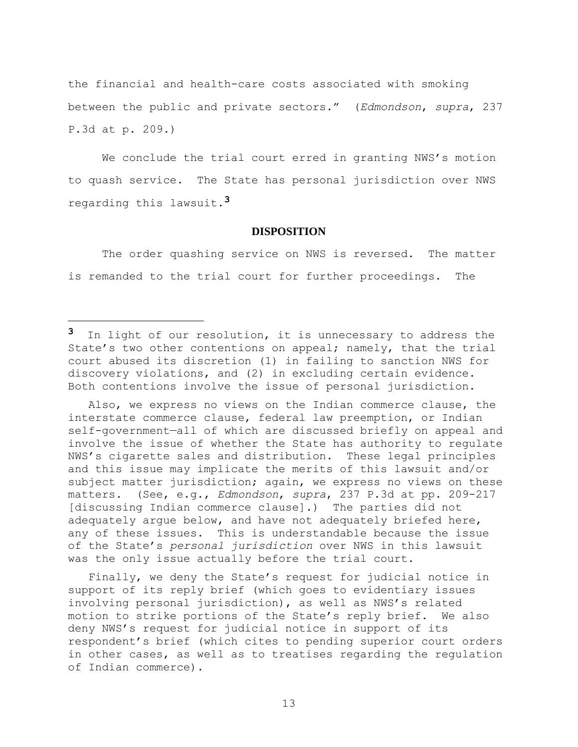the financial and health-care costs associated with smoking between the public and private sectors." (*Edmondson*, *supra*, 237 P.3d at p. 209.)

We conclude the trial court erred in granting NWS's motion to quash service. The State has personal jurisdiction over NWS regarding this lawsuit.**3**

# **DISPOSITION**

The order quashing service on NWS is reversed. The matter is remanded to the trial court for further proceedings. The

a<br>B

 Also, we express no views on the Indian commerce clause, the interstate commerce clause, federal law preemption, or Indian self-government—all of which are discussed briefly on appeal and involve the issue of whether the State has authority to regulate NWS"s cigarette sales and distribution. These legal principles and this issue may implicate the merits of this lawsuit and/or subject matter jurisdiction; again, we express no views on these matters. (See, e.g., *Edmondson*, *supra*, 237 P.3d at pp. 209-217 [discussing Indian commerce clause].) The parties did not adequately argue below, and have not adequately briefed here, any of these issues. This is understandable because the issue of the State"s *personal jurisdiction* over NWS in this lawsuit was the only issue actually before the trial court.

Finally, we deny the State's request for judicial notice in support of its reply brief (which goes to evidentiary issues involving personal jurisdiction), as well as NWS"s related motion to strike portions of the State's reply brief. We also deny NWS"s request for judicial notice in support of its respondent"s brief (which cites to pending superior court orders in other cases, as well as to treatises regarding the regulation of Indian commerce).

**<sup>3</sup>** In light of our resolution, it is unnecessary to address the State's two other contentions on appeal; namely, that the trial court abused its discretion (1) in failing to sanction NWS for discovery violations, and (2) in excluding certain evidence. Both contentions involve the issue of personal jurisdiction.